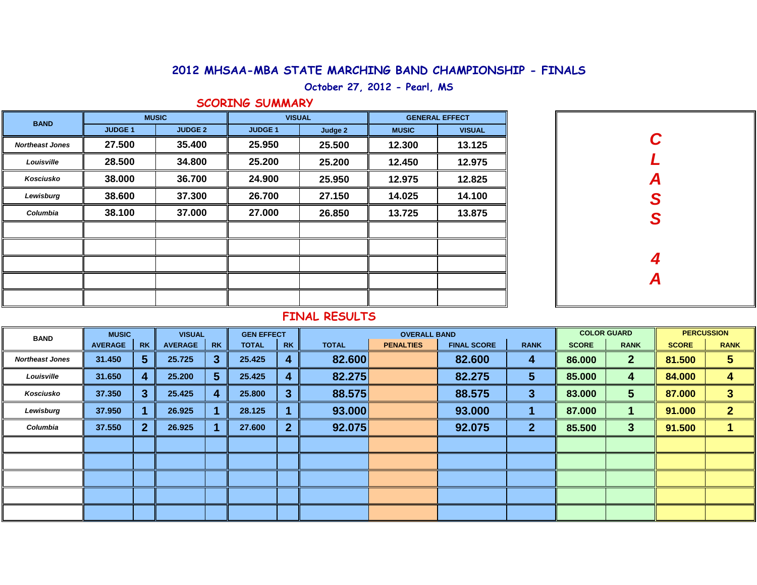## **2012 MHSAA-MBA STATE MARCHING BAND CHAMPIONSHIP - FINALS**

**October 27, 2012 - Pearl, MS**

### **SCORING SUMMARY**

| <b>BAND</b>            |                | <b>MUSIC</b>   | <b>VISUAL</b>  |         | <b>GENERAL EFFECT</b> |               |  |  |  |
|------------------------|----------------|----------------|----------------|---------|-----------------------|---------------|--|--|--|
|                        | <b>JUDGE 1</b> | <b>JUDGE 2</b> | <b>JUDGE 1</b> | Judge 2 | <b>MUSIC</b>          | <b>VISUAL</b> |  |  |  |
| <b>Northeast Jones</b> | 27.500         | 35.400         | 25.950         | 25.500  | 12.300                | 13.125        |  |  |  |
| Louisville             | 28.500         | 34.800         | 25.200         | 25.200  | 12.450                | 12.975        |  |  |  |
| Kosciusko              | 38.000         | 36.700         | 24.900         | 25.950  | 12.975                | 12.825        |  |  |  |
| Lewisburg              | 38.600         | 37.300         | 26.700         | 27.150  | 14.025                | 14.100        |  |  |  |
| Columbia               | 38.100         | 37.000         | 27.000         | 26.850  | 13.725                | 13.875        |  |  |  |
|                        |                |                |                |         |                       |               |  |  |  |
|                        |                |                |                |         |                       |               |  |  |  |
|                        |                |                |                |         |                       |               |  |  |  |
|                        |                |                |                |         |                       |               |  |  |  |
|                        |                |                |                |         |                       |               |  |  |  |

| $\mathbf C$    |
|----------------|
| $\overline{L}$ |
|                |
| A<br>S<br>S    |
|                |
|                |
|                |
| $\frac{4}{A}$  |
|                |
|                |

## **FINAL RESULTS**

| <b>BAND</b>            | <b>MUSIC</b>   |                | <b>VISUAL</b>  |           | <b>GEN EFFECT</b> |                |              | <b>OVERALL BAND</b> |                    | <b>COLOR GUARD</b> |              | <b>PERCUSSION</b> |              |              |
|------------------------|----------------|----------------|----------------|-----------|-------------------|----------------|--------------|---------------------|--------------------|--------------------|--------------|-------------------|--------------|--------------|
|                        | <b>AVERAGE</b> | <b>RK</b>      | <b>AVERAGE</b> | <b>RK</b> | <b>TOTAL</b>      | <b>RK</b>      | <b>TOTAL</b> | <b>PENALTIES</b>    | <b>FINAL SCORE</b> | <b>RANK</b>        | <b>SCORE</b> | <b>RANK</b>       | <b>SCORE</b> | <b>RANK</b>  |
| <b>Northeast Jones</b> | 31.450         | 5 <sup>5</sup> | 25.725         | З         | 25.425            | 4              | 82.600       |                     | 82.600             | 4                  | 86.000       | 2 <sup>2</sup>    | 81.500       | 5            |
| Louisville             | 31.650         | 4              | 25.200         | 5         | 25.425            | 4              | 82.275       |                     | 82.275             | 5                  | 85.000       | 4                 | 84.000       | 4            |
| Kosciusko              | 37.350         | 3 <sup>1</sup> | 25.425         |           | 25.800            | 3              | 88.575       |                     | 88.575             | 3                  | 83.000       | $5\phantom{.0}$   | 87.000       | 3            |
| Lewisburg              | 37.950         |                | 26.925         |           | 28.125            |                | 93.000       |                     | 93.000             |                    | 87.000       |                   | 91.000       | $\mathbf{2}$ |
| Columbia               | 37.550         | 2 <sup>1</sup> | 26.925         |           | 27.600            | $\overline{2}$ | 92.075       |                     | 92.075             | $\mathbf{2}$       | 85.500       | 3                 | 91.500       |              |
|                        |                |                |                |           |                   |                |              |                     |                    |                    |              |                   |              |              |
|                        |                |                |                |           |                   |                |              |                     |                    |                    |              |                   |              |              |
|                        |                |                |                |           |                   |                |              |                     |                    |                    |              |                   |              |              |
|                        |                |                |                |           |                   |                |              |                     |                    |                    |              |                   |              |              |
|                        |                |                |                |           |                   |                |              |                     |                    |                    |              |                   |              |              |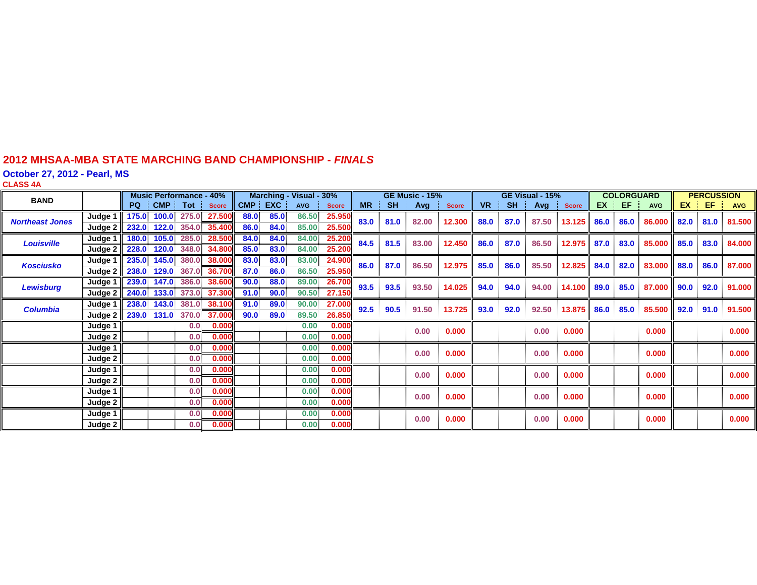#### **2012 MHSAA-MBA STATE MARCHING BAND CHAMPIONSHIP -** *FINAL S*

**October 27, 2012 - Pearl, MS**

**CLASS 4 A**

| <b>BAND</b>            |         | <b>Music Performance - 40%</b> |            | Marching - Visual - 30% |              |      |            | <b>GE Music - 15%</b> |              |           | GE Visual - 15% |               |              |           | <b>COLORGUARD</b> |       |                 | <b>PERCUSSION</b> |      |            |           |      |            |
|------------------------|---------|--------------------------------|------------|-------------------------|--------------|------|------------|-----------------------|--------------|-----------|-----------------|---------------|--------------|-----------|-------------------|-------|-----------------|-------------------|------|------------|-----------|------|------------|
|                        |         | <b>PQ</b>                      | <b>CMP</b> | Tot                     | <b>Score</b> | CMP  | <b>EXC</b> | <b>AVG</b>            | <b>Score</b> | <b>MR</b> | <b>SH</b>       | Avg           | <b>Score</b> | <b>VR</b> | <b>SH</b>         | Avg   | <b>Score</b>    | <b>EX</b>         | EF.  | <b>AVG</b> | <b>EX</b> | EF   | <b>AVG</b> |
| <b>Northeast Jones</b> | Judge 1 | 175.0                          | 100.0      | 275.0                   | 27.500       | 88.0 | 85.0       | 86.50                 | 25.950       | 83.0      | 81.0            | 82.00         | 12.300       | 88.0      | 87.0              | 87.50 | 13.125          | 86.0              | 86.0 | 86.000     | 82.0      | 81.0 | 81.500     |
|                        | Judge 2 | 232.0                          | 122.0      |                         | 354.0 35.400 | 86.0 | 84.0       | 85.00                 | 25.500       |           |                 |               |              |           |                   |       |                 |                   |      |            |           |      |            |
| <b>Louisville</b>      | Judge 1 | 180.0                          | 105.0      | 285.0                   | 28.500       | 84.0 | 84.0       | 84.00                 | 25.200       | 84.5      | 81.5            | 83.00         | 12.450       | 86.0      | 87.0              | 86.50 | 12.975          | 87.0              | 83.0 | 85.000     | 85.0      | 83.0 | 84.000     |
|                        | Judge 2 | 228.0                          | 120.0      | 348.0                   | 34.800       | 85.0 | 83.0       | 84.00                 | 25.200       |           |                 |               |              |           |                   |       |                 |                   |      |            |           |      |            |
| <b>Kosciusko</b>       | Judge 1 | 235.0                          | 145.0      |                         | 380.0 38.000 | 83.0 | 83.0       | 83.00                 | 24.900       | 86.0      | 87.0            | 86.50         | 12.975       | 85.0      | 86.0              |       | 85.50<br>12.825 | 84.0<br>82.0      |      | 83.000     | 88.0      | 86.0 | 87.000     |
|                        | Judge 2 | 238.0                          | 129.0      |                         | 367.0 36.700 | 87.0 | 86.0       | 86.50                 | 25.950       |           |                 |               |              |           |                   |       |                 |                   |      |            |           |      |            |
| <b>Lewisburg</b>       | Judge 1 | 239.0                          | 147.0      | 386.0                   | 38,600       | 90.0 | 88.0       | 89.00                 | 26.700       | 93.5      |                 | 93.5<br>93.50 | 14.025       | 94.0      | 94.0              | 94.00 | 14.100          | 89.0              | 85.0 | 87.000     | 90.0      | 92.0 | 91.000     |
|                        | Judge 2 | 240.0                          | 133.0      | 373.0                   | 37.300       | 91.0 | 90.0       | 90.50                 | 27.150       |           |                 |               |              |           |                   |       |                 |                   |      |            |           |      |            |
| <b>Columbia</b>        | Judge 1 | 238.0                          | 143.0      |                         | 381.0 38.100 | 91.0 | 89.0       | 90.00                 | 27.000       | 92.5      | 90.5            | 91.50         | 13.725       | 93.0      | 92.0              | 92.50 | 13.875          | 86.0              | 85.0 | 85.500     | 92.0      | 91.0 | 91.500     |
|                        | Judge 2 | 239.0                          |            | 131.0 370.0             | 37.000       | 90.0 | 89.0       | 89.50                 | 26.850       |           |                 |               |              |           |                   |       |                 |                   |      |            |           |      |            |
|                        | Judge 1 |                                |            | 0.0                     | 0.000        |      |            | 0.00                  | 0.000        |           |                 | 0.00          | 0.000        |           |                   | 0.00  | 0.000           |                   |      | 0.000      |           |      | 0.000      |
|                        | Judge 2 |                                |            | 0.0                     | 0.000        |      |            | 0.00                  | 0.000        |           |                 |               |              |           |                   |       |                 |                   |      |            |           |      |            |
|                        | Judge 1 |                                |            | 0.0                     | 0.000        |      |            | 0.00                  | 0.000        |           |                 | 0.00          | 0.000        |           |                   | 0.00  | 0.000           |                   |      | 0.000      |           |      | 0.000      |
|                        | Judge 2 |                                |            | 0.0                     | 0.000        |      |            | 0.00                  | 0.000        |           |                 |               |              |           |                   |       |                 |                   |      |            |           |      |            |
|                        | Judge 1 |                                |            | 0.0                     | 0.000        |      |            | 0.00                  | 0.000        |           |                 | 0.00          | 0.000        |           |                   | 0.00  | 0.000           |                   |      | 0.000      |           |      | 0.000      |
|                        | Judge 2 |                                |            | 0.0                     | 0.000        |      |            | 0.00                  | 0.000        |           |                 |               |              |           |                   |       |                 |                   |      |            |           |      |            |
|                        | Judge 1 |                                |            | 0.0                     | 0.000        |      |            | 0.00                  | 0.000        |           |                 | 0.00          | 0.000        |           |                   | 0.00  | 0.000           |                   |      | 0.000      |           |      | 0.000      |
|                        | Judge 2 |                                |            | 0.0                     | 0.000        |      |            | 0.00                  | 0.000        |           |                 |               |              |           |                   |       |                 |                   |      |            |           |      |            |
|                        | Judge 1 |                                |            | 0.0                     | 0.000        |      |            | 0.00                  | 0.000        |           |                 | 0.00          | 0.000        |           |                   | 0.00  | 0.000           |                   |      | 0.000      |           |      | 0.000      |
|                        | Judge 2 |                                |            | 0.0                     | 0.000        |      |            | 0.00                  | 0.000        |           |                 |               |              |           |                   |       |                 |                   |      |            |           |      |            |